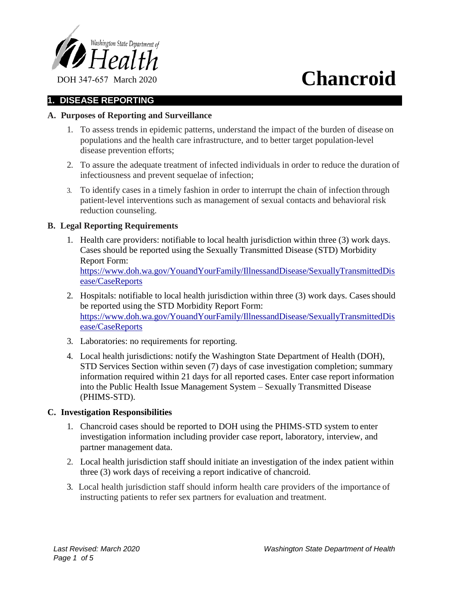

# **1. DISEASE REPORTING**

# **A. Purposes of Reporting and Surveillance**

- 1. To assess trends in epidemic patterns, understand the impact of the burden of disease on populations and the health care infrastructure, and to better target population-level disease prevention efforts;
- 2. To assure the adequate treatment of infected individuals in order to reduce the duration of infectiousness and prevent sequelae of infection;
- 3. To identify cases in a timely fashion in order to interrupt the chain of infection through patient-level interventions such as management of sexual contacts and behavioral risk reduction counseling.

# **B. Legal Reporting Requirements**

- 1. Health care providers: notifiable to local health jurisdiction within three (3) work days. Cases should be reported using the Sexually Transmitted Disease (STD) Morbidity Report Form: https://www.doh.wa.gov/YouandYourFamily/IllnessandDisease/SexuallyTransmittedDis ease/CaseReports
- 2. Hospitals: notifiable to local health jurisdiction within three (3) work days. Cases should be reported using the STD Morbidity Report Form: https://www.doh.wa.gov/YouandYourFamily/IllnessandDisease/SexuallyTransmittedDis ease/CaseReports
- 3. Laboratories: no requirements for reporting.
- 4. Local health jurisdictions: notify the Washington State Department of Health (DOH), STD Services Section within seven (7) days of case investigation completion; summary information required within 21 days for all reported cases. Enter case report information into the Public Health Issue Management System – Sexually Transmitted Disease (PHIMS-STD).

# **C. Investigation Responsibilities**

- 1. Chancroid cases should be reported to DOH using the PHIMS-STD system to enter investigation information including provider case report, laboratory, interview, and partner management data.
- 2. Local health jurisdiction staff should initiate an investigation of the index patient within three (3) work days of receiving a report indicative of chancroid.
- 3. Local health jurisdiction staff should inform health care providers of the importance of instructing patients to refer sex partners for evaluation and treatment.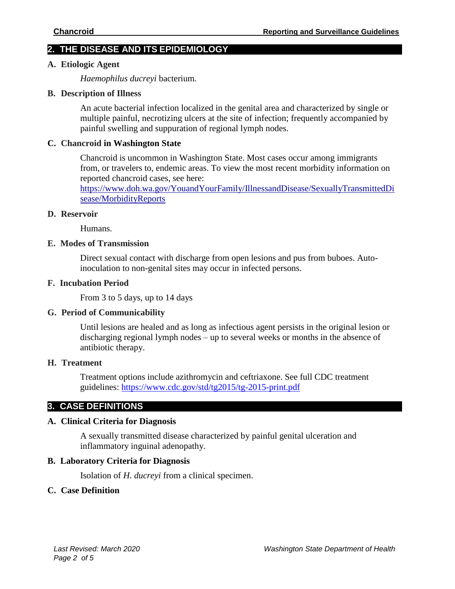# **2. THE DISEASE AND ITS EPIDEMIOLOGY**

#### **A. Etiologic Agent**

*Haemophilus ducreyi* bacterium*.*

#### **B. Description of Illness**

An acute bacterial infection localized in the genital area and characterized by single or multiple painful, necrotizing ulcers at the site of infection; frequently accompanied by painful swelling and suppuration of regional lymph nodes.

#### **C. Chancroid in Washington State**

Chancroid is uncommon in Washington State. Most cases occur among immigrants from, or travelers to, endemic areas. To view the most recent morbidity information on reported chancroid cases, see here:

https://www.doh.wa.gov/YouandYourFamily/IllnessandDisease/SexuallyTransmittedDi sease/MorbidityReports

#### **D. Reservoir**

Humans.

#### **E. Modes of Transmission**

Direct sexual contact with discharge from open lesions and pus from buboes. Autoinoculation to non-genital sites may occur in infected persons.

## **F. Incubation Period**

From 3 to 5 days, up to 14 days

#### **G. Period of Communicability**

Until lesions are healed and as long as infectious agent persists in the original lesion or discharging regional lymph nodes – up to several weeks or months in the absence of antibiotic therapy.

#### **H. Treatment**

Treatment options include azithromycin and ceftriaxone. See full CDC treatment guidelines: https://www.cdc.gov/std/tg2015/tg-2015-print.pdf

# **3. CASE DEFINITIONS**

# **A. Clinical Criteria for Diagnosis**

A sexually transmitted disease characterized by painful genital ulceration and inflammatory inguinal adenopathy.

#### **B. Laboratory Criteria for Diagnosis**

Isolation of *H. ducreyi* from a clinical specimen.

# **C. Case Definition**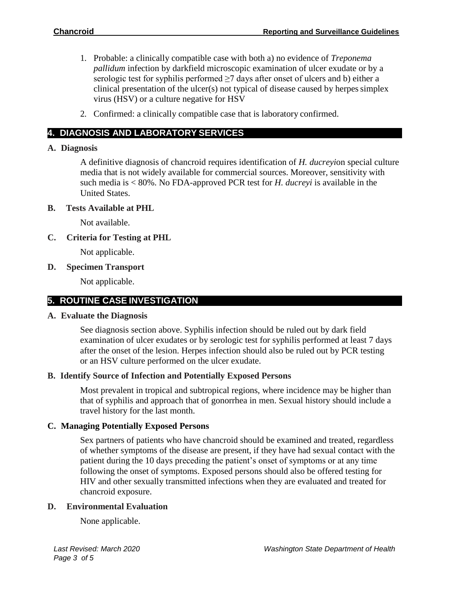- 1. Probable: a clinically compatible case with both a) no evidence of *Treponema pallidum* infection by darkfield microscopic examination of ulcer exudate or by a serologic test for syphilis performed  $\geq$ 7 days after onset of ulcers and b) either a clinical presentation of the ulcer $(s)$  not typical of disease caused by herpes simplex virus (HSV) or a culture negative for HSV
- 2. Confirmed: a clinically compatible case that is laboratory confirmed.

# **4. DIAGNOSIS AND LABORATORY SERVICES**

# **A. Diagnosis**

A definitive diagnosis of chancroid requires identification of *H. ducreyi*on special culture media that is not widely available for commercial sources. Moreover, sensitivity with such media is < 80%. No FDA-approved PCR test for *H. ducreyi* is available in the United States.

# **B. Tests Available at PHL**

Not available.

# **C. Criteria for Testing at PHL**

Not applicable.

# **D. Specimen Transport**

Not applicable.

# **5. ROUTINE CASE INVESTIGATION**

# **A. Evaluate the Diagnosis**

See diagnosis section above. Syphilis infection should be ruled out by dark field examination of ulcer exudates or by serologic test for syphilis performed at least 7 days after the onset of the lesion. Herpes infection should also be ruled out by PCR testing or an HSV culture performed on the ulcer exudate.

# **B. Identify Source of Infection and Potentially Exposed Persons**

Most prevalent in tropical and subtropical regions, where incidence may be higher than that of syphilis and approach that of gonorrhea in men. Sexual history should include a travel history for the last month.

# **C. Managing Potentially Exposed Persons**

Sex partners of patients who have chancroid should be examined and treated, regardless of whether symptoms of the disease are present, if they have had sexual contact with the patient during the 10 days preceding the patient's onset of symptoms or at any time following the onset of symptoms. Exposed persons should also be offered testing for HIV and other sexually transmitted infections when they are evaluated and treated for chancroid exposure.

# **D. Environmental Evaluation**

None applicable.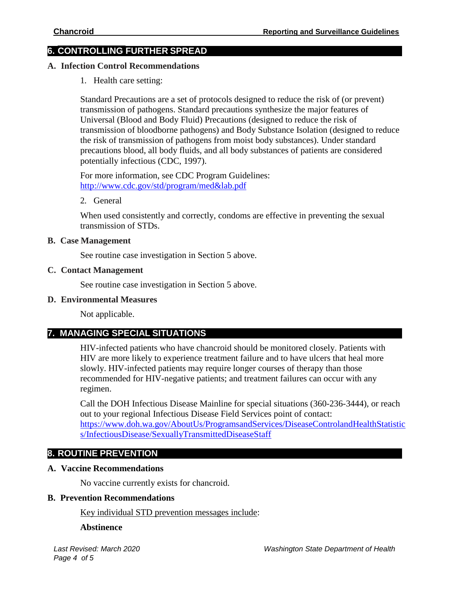# **6. CONTROLLING FURTHER SPREAD**

#### **A. Infection Control Recommendations**

1. Health care setting:

Standard Precautions are a set of protocols designed to reduce the risk of (or prevent) transmission of pathogens. Standard precautions synthesize the major features of Universal (Blood and Body Fluid) Precautions (designed to reduce the risk of transmission of bloodborne pathogens) and Body Substance Isolation (designed to reduce the risk of transmission of pathogens from moist body substances). Under standard precautions blood, all body fluids, and all body substances of patients are considered potentially infectious (CDC, 1997).

For more information, see CDC Program Guidelines: [http://www.cdc.gov/std/program/med&lab.pdf](http://www.cdc.gov/std/program/med%26lab.pdf)

2. General

When used consistently and correctly, condoms are effective in preventing the sexual transmission of STDs.

#### **B. Case Management**

See routine case investigation in Section 5 above.

#### **C. Contact Management**

See routine case investigation in Section 5 above.

#### **D. Environmental Measures**

Not applicable.

# **7. MANAGING SPECIAL SITUATIONS**

HIV-infected patients who have chancroid should be monitored closely. Patients with HIV are more likely to experience treatment failure and to have ulcers that heal more slowly. HIV-infected patients may require longer courses of therapy than those recommended for HIV-negative patients; and treatment failures can occur with any regimen.

Call the DOH Infectious Disease Mainline for special situations (360-236-3444), or reach out to your regional Infectious Disease Field Services point of contact: [https://www.doh.wa.gov/AboutUs/ProgramsandServices/DiseaseControlandHealthStatistic](https://www.doh.wa.gov/AboutUs/ProgramsandServices/DiseaseControlandHealthStatistics/InfectiousDisease/SexuallyTransmittedDiseaseStaff) [s/InfectiousDisease/SexuallyTransmittedDiseaseStaff](https://www.doh.wa.gov/AboutUs/ProgramsandServices/DiseaseControlandHealthStatistics/InfectiousDisease/SexuallyTransmittedDiseaseStaff)

# **8. ROUTINE PREVENTION**

# **A. Vaccine Recommendations**

No vaccine currently exists for chancroid.

#### **B. Prevention Recommendations**

Key individual STD prevention messages include:

#### **Abstinence**